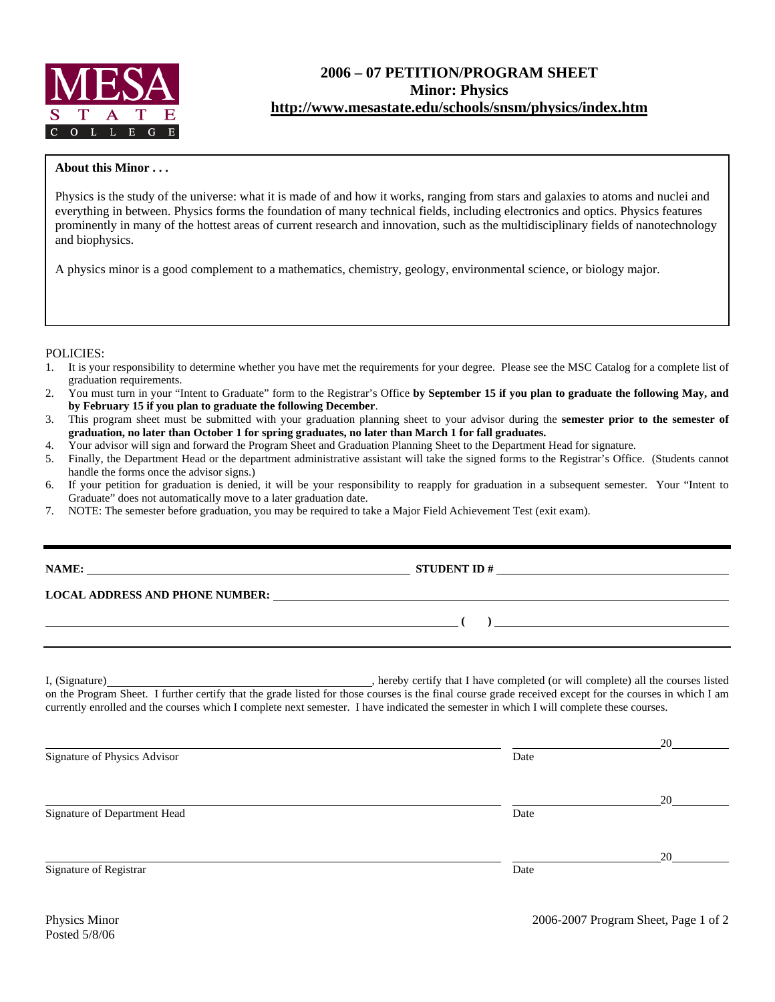

## **2006 – 07 PETITION/PROGRAM SHEET Minor: Physics http://www.mesastate.edu/schools/snsm/physics/index.htm**

## **About this Minor . . .**

Physics is the study of the universe: what it is made of and how it works, ranging from stars and galaxies to atoms and nuclei and everything in between. Physics forms the foundation of many technical fields, including electronics and optics. Physics features prominently in many of the hottest areas of current research and innovation, such as the multidisciplinary fields of nanotechnology and biophysics.

A physics minor is a good complement to a mathematics, chemistry, geology, environmental science, or biology major.

## POLICIES:

- 1. It is your responsibility to determine whether you have met the requirements for your degree. Please see the MSC Catalog for a complete list of graduation requirements.
- 2. You must turn in your "Intent to Graduate" form to the Registrar's Office **by September 15 if you plan to graduate the following May, and by February 15 if you plan to graduate the following December**.
- 3. This program sheet must be submitted with your graduation planning sheet to your advisor during the **semester prior to the semester of graduation, no later than October 1 for spring graduates, no later than March 1 for fall graduates.**
- 4. Your advisor will sign and forward the Program Sheet and Graduation Planning Sheet to the Department Head for signature.<br>5. Finally, the Department Head or the department administrative assistant will take the signed fo
- 5. Finally, the Department Head or the department administrative assistant will take the signed forms to the Registrar's Office. (Students cannot handle the forms once the advisor signs.)
- 6. If your petition for graduation is denied, it will be your responsibility to reapply for graduation in a subsequent semester. Your "Intent to Graduate" does not automatically move to a later graduation date.
- 7. NOTE: The semester before graduation, you may be required to take a Major Field Achievement Test (exit exam).

|                              | NAME: $STUDENT ID #$                                                                                                                                                                                                                                                                                                               |    |
|------------------------------|------------------------------------------------------------------------------------------------------------------------------------------------------------------------------------------------------------------------------------------------------------------------------------------------------------------------------------|----|
|                              |                                                                                                                                                                                                                                                                                                                                    |    |
|                              | $\overline{a}$ (b) $\overline{a}$ (c) $\overline{a}$ (c) $\overline{a}$ (c) $\overline{a}$ (c) $\overline{a}$ (c) $\overline{a}$ (c) $\overline{a}$ (c) $\overline{a}$ (c) $\overline{a}$ (c) $\overline{a}$ (c) $\overline{a}$ (c) $\overline{a}$ (c) $\overline{a}$ (c) $\overline{a}$ (c) $\overline{a}$ (c) $\overline{a}$ (c) |    |
|                              | currently enrolled and the courses which I complete next semester. I have indicated the semester in which I will complete these courses.                                                                                                                                                                                           |    |
| Signature of Physics Advisor | Date                                                                                                                                                                                                                                                                                                                               |    |
|                              |                                                                                                                                                                                                                                                                                                                                    |    |
|                              |                                                                                                                                                                                                                                                                                                                                    | 20 |
| Signature of Department Head | Date                                                                                                                                                                                                                                                                                                                               |    |
|                              |                                                                                                                                                                                                                                                                                                                                    | 20 |
| Signature of Registrar       | Date                                                                                                                                                                                                                                                                                                                               |    |